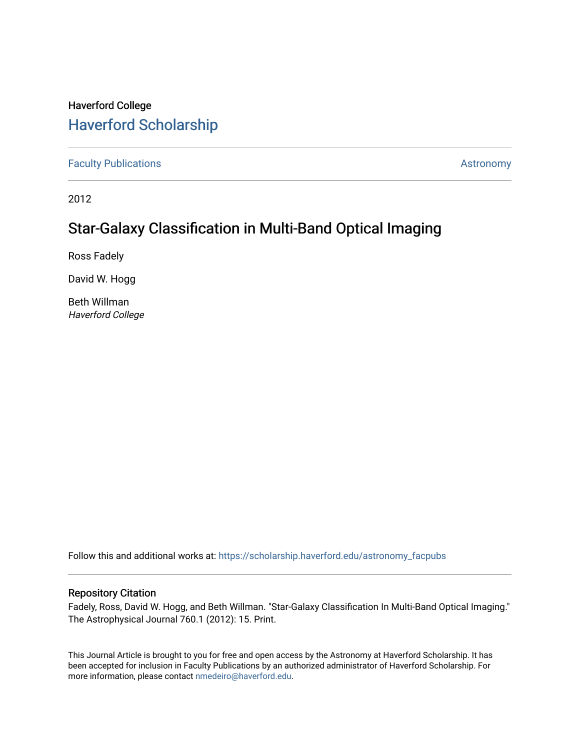## Haverford College [Haverford Scholarship](https://scholarship.haverford.edu/)

[Faculty Publications](https://scholarship.haverford.edu/astronomy_facpubs) **Astronomy Astronomy** 

2012

# Star-Galaxy Classification in Multi-Band Optical Imaging

Ross Fadely

David W. Hogg

Beth Willman Haverford College

Follow this and additional works at: [https://scholarship.haverford.edu/astronomy\\_facpubs](https://scholarship.haverford.edu/astronomy_facpubs?utm_source=scholarship.haverford.edu%2Fastronomy_facpubs%2F244&utm_medium=PDF&utm_campaign=PDFCoverPages)

## Repository Citation

Fadely, Ross, David W. Hogg, and Beth Willman. "Star-Galaxy Classification In Multi-Band Optical Imaging." The Astrophysical Journal 760.1 (2012): 15. Print.

This Journal Article is brought to you for free and open access by the Astronomy at Haverford Scholarship. It has been accepted for inclusion in Faculty Publications by an authorized administrator of Haverford Scholarship. For more information, please contact [nmedeiro@haverford.edu.](mailto:nmedeiro@haverford.edu)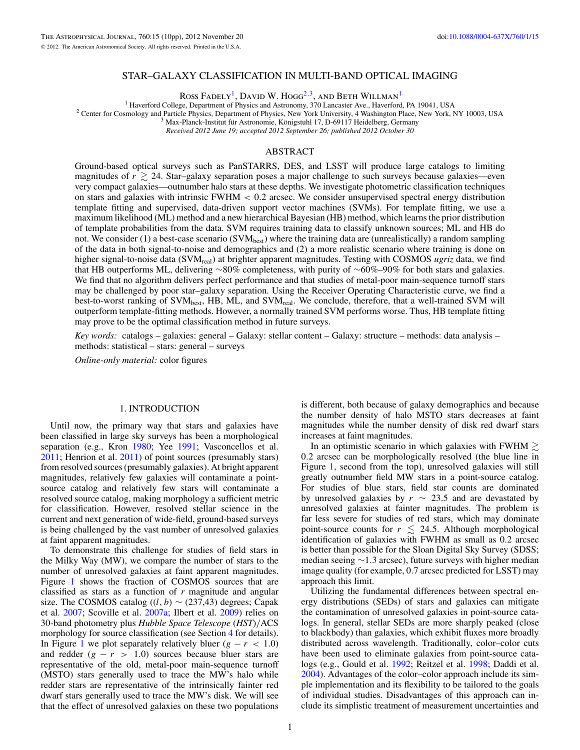## STAR–GALAXY CLASSIFICATION IN MULTI-BAND OPTICAL IMAGING

ROSS FADELY<sup>1</sup>, DAVID W. HOGG<sup>2,3</sup>, AND BETH WILLMAN<sup>1</sup><br><sup>1</sup> Haverford College, Department of Physics and Astronomy, 370 Lancaster Ave., Haverford, PA 19041, USA

<sup>2</sup> Center for Cosmology and Particle Physics, Department of Physics, New York University, 4 Washington Place, New York, NY 10003, USA  $3$  Max-Planck-Institut für Astronomie, Königstuhl 17, D-69117 Heidelberg, Germany

*Received 2012 June 19; accepted 2012 September 26; published 2012 October 30*

## ABSTRACT

Ground-based optical surveys such as PanSTARRS, DES, and LSST will produce large catalogs to limiting magnitudes of  $r \gtrsim 24$ . Star–galaxy separation poses a major challenge to such surveys because galaxies—even very compact galaxies—outnumber halo stars at these depths. We investigate photometric classification techniques on stars and galaxies with intrinsic FWHM *<* 0*.*2 arcsec. We consider unsupervised spectral energy distribution template fitting and supervised, data-driven support vector machines (SVMs). For template fitting, we use a maximum likelihood (ML) method and a new hierarchical Bayesian (HB) method, which learns the prior distribution of template probabilities from the data. SVM requires training data to classify unknown sources; ML and HB do not. We consider (1) a best-case scenario (SVM<sub>best</sub>) where the training data are (unrealistically) a random sampling of the data in both signal-to-noise and demographics and (2) a more realistic scenario where training is done on higher signal-to-noise data (SVMreal) at brighter apparent magnitudes. Testing with COSMOS *ugriz* data, we find that HB outperforms ML, delivering ∼80% completeness, with purity of ∼60%–90% for both stars and galaxies. We find that no algorithm delivers perfect performance and that studies of metal-poor main-sequence turnoff stars may be challenged by poor star–galaxy separation. Using the Receiver Operating Characteristic curve, we find a best-to-worst ranking of SVM<sub>best</sub>, HB, ML, and SVM<sub>real</sub>. We conclude, therefore, that a well-trained SVM will outperform template-fitting methods. However, a normally trained SVM performs worse. Thus, HB template fitting may prove to be the optimal classification method in future surveys.

*Key words:* catalogs – galaxies: general – Galaxy: stellar content – Galaxy: structure – methods: data analysis – methods: statistical – stars: general – surveys

*Online-only material:* color figures

## 1. INTRODUCTION

Until now, the primary way that stars and galaxies have been classified in large sky surveys has been a morphological separation (e.g., Kron [1980;](#page-10-0) Yee [1991;](#page-10-0) Vasconcellos et al. [2011;](#page-10-0) Henrion et al. [2011\)](#page-10-0) of point sources (presumably stars) from resolved sources (presumably galaxies). At bright apparent magnitudes, relatively few galaxies will contaminate a pointsource catalog and relatively few stars will contaminate a resolved source catalog, making morphology a sufficient metric for classification. However, resolved stellar science in the current and next generation of wide-field, ground-based surveys is being challenged by the vast number of unresolved galaxies at faint apparent magnitudes.

To demonstrate this challenge for studies of field stars in the Milky Way (MW), we compare the number of stars to the number of unresolved galaxies at faint apparent magnitudes. Figure [1](#page-2-0) shows the fraction of COSMOS sources that are classified as stars as a function of *r* magnitude and angular size. The COSMOS catalog  $((l, b) \sim (237, 43)$  degrees; Capak et al. [2007;](#page-10-0) Scoville et al. [2007a;](#page-10-0) Ilbert et al. [2009\)](#page-10-0) relies on 30-band photometry plus *Hubble Space Telescope* (*HST*)*/*ACS morphology for source classification (see Section [4](#page-4-0) for details). In Figure [1](#page-2-0) we plot separately relatively bluer  $(g - r < 1.0)$ and redder  $(g - r > 1.0)$  sources because bluer stars are representative of the old, metal-poor main-sequence turnoff (MSTO) stars generally used to trace the MW's halo while redder stars are representative of the intrinsically fainter red dwarf stars generally used to trace the MW's disk. We will see that the effect of unresolved galaxies on these two populations

is different, both because of galaxy demographics and because the number density of halo MSTO stars decreases at faint magnitudes while the number density of disk red dwarf stars increases at faint magnitudes.

In an optimistic scenario in which galaxies with FWHM  $\gtrsim$ 0*.*2 arcsec can be morphologically resolved (the blue line in Figure [1,](#page-2-0) second from the top), unresolved galaxies will still greatly outnumber field MW stars in a point-source catalog. For studies of blue stars, field star counts are dominated by unresolved galaxies by  $r \sim 23.5$  and are devastated by unresolved galaxies at fainter magnitudes. The problem is far less severe for studies of red stars, which may dominate point-source counts for  $r \le 24.5$ . Although morphological identification of galaxies with FWHM as small as 0*.*2 arcsec is better than possible for the Sloan Digital Sky Survey (SDSS; median seeing ∼1*.*3 arcsec), future surveys with higher median image quality (for example, 0*.*7 arcsec predicted for LSST) may approach this limit.

Utilizing the fundamental differences between spectral energy distributions (SEDs) of stars and galaxies can mitigate the contamination of unresolved galaxies in point-source catalogs. In general, stellar SEDs are more sharply peaked (close to blackbody) than galaxies, which exhibit fluxes more broadly distributed across wavelength. Traditionally, color–color cuts have been used to eliminate galaxies from point-source cata-logs (e.g., Gould et al. [1992;](#page-10-0) Reitzel et al. [1998;](#page-10-0) Daddi et al. [2004\)](#page-10-0). Advantages of the color–color approach include its simple implementation and its flexibility to be tailored to the goals of individual studies. Disadvantages of this approach can include its simplistic treatment of measurement uncertainties and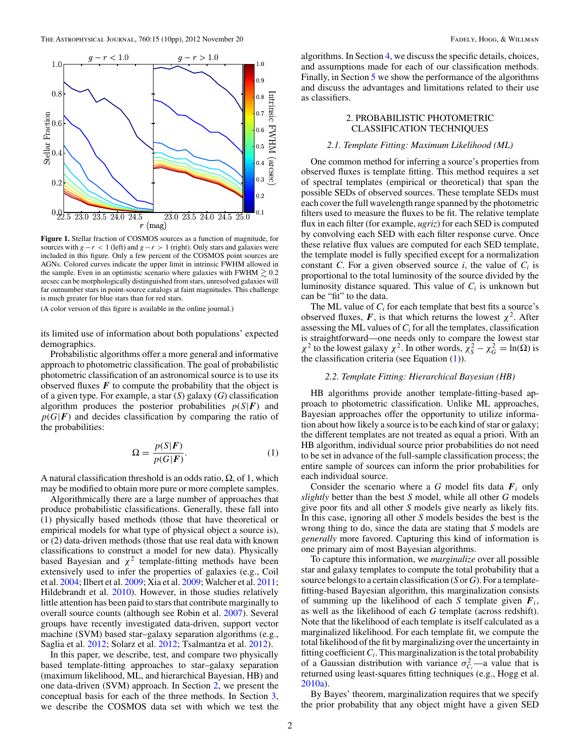<span id="page-2-0"></span>

**Figure 1.** Stellar fraction of COSMOS sources as a function of magnitude, for sources with  $g - r < 1$  (left) and  $g - r > 1$  (right). Only stars and galaxies were included in this figure. Only a few percent of the COSMOS point sources are AGNs. Colored curves indicate the upper limit in intrinsic FWHM allowed in the sample. Even in an optimistic scenario where galaxies with FWHM  $\gtrsim 0.2$ arcsec can be morphologically distinguished from stars, unresolved galaxies will far outnumber stars in point-source catalogs at faint magnitudes. This challenge is much greater for blue stars than for red stars.

(A color version of this figure is available in the online journal.)

its limited use of information about both populations' expected demographics.

Probabilistic algorithms offer a more general and informative approach to photometric classification. The goal of probabilistic photometric classification of an astronomical source is to use its observed fluxes  $F$  to compute the probability that the object is of a given type. For example, a star (*S*) galaxy (*G*) classification algorithm produces the posterior probabilities  $p(S|F)$  and  $p(G|F)$  and decides classification by comparing the ratio of the probabilities:

$$
\Omega = \frac{p(S|F)}{p(G|F)}.\tag{1}
$$

A natural classification threshold is an odds ratio,  $\Omega$ , of 1, which may be modified to obtain more pure or more complete samples.

Algorithmically there are a large number of approaches that produce probabilistic classifications. Generally, these fall into (1) physically based methods (those that have theoretical or empirical models for what type of physical object a source is), or (2) data-driven methods (those that use real data with known classifications to construct a model for new data). Physically based Bayesian and  $\chi^2$  template-fitting methods have been extensively used to infer the properties of galaxies (e.g., Coil et al. [2004;](#page-10-0) Ilbert et al. [2009;](#page-10-0) Xia et al. [2009;](#page-10-0) Walcher et al. [2011;](#page-10-0) Hildebrandt et al. [2010\)](#page-10-0). However, in those studies relatively little attention has been paid to stars that contribute marginally to overall source counts (although see Robin et al. [2007\)](#page-10-0). Several groups have recently investigated data-driven, support vector machine (SVM) based star–galaxy separation algorithms (e.g., Saglia et al. [2012;](#page-10-0) Solarz et al. [2012;](#page-10-0) Tsalmantza et al. [2012\)](#page-10-0).

In this paper, we describe, test, and compare two physically based template-fitting approaches to star–galaxy separation (maximum likelihood, ML, and hierarchical Bayesian, HB) and one data-driven (SVM) approach. In Section 2, we present the conceptual basis for each of the three methods. In Section [3,](#page-3-0) we describe the COSMOS data set with which we test the

algorithms. In Section [4,](#page-4-0) we discuss the specific details, choices, and assumptions made for each of our classification methods. Finally, in Section [5](#page-5-0) we show the performance of the algorithms and discuss the advantages and limitations related to their use as classifiers.

## 2. PROBABILISTIC PHOTOMETRIC CLASSIFICATION TECHNIQUES

## *2.1. Template Fitting: Maximum Likelihood (ML)*

One common method for inferring a source's properties from observed fluxes is template fitting. This method requires a set of spectral templates (empirical or theoretical) that span the possible SEDs of observed sources. These template SEDs must each cover the full wavelength range spanned by the photometric filters used to measure the fluxes to be fit. The relative template flux in each filter (for example, *ugriz*) for each SED is computed by convolving each SED with each filter response curve. Once these relative flux values are computed for each SED template, the template model is fully specified except for a normalization constant *C*. For a given observed source  $i$ , the value of  $C_i$  is proportional to the total luminosity of the source divided by the luminosity distance squared. This value of  $C_i$  is unknown but can be "fit" to the data.

The ML value of  $C_i$  for each template that best fits a source's observed fluxes,  $\vec{F}$ , is that which returns the lowest  $\chi^2$ . After assessing the ML values of *Ci* for all the templates, classification is straightforward—one needs only to compare the lowest star *χ*<sup>2</sup> to the lowest galaxy *χ*<sup>2</sup>. In other words,  $\chi^2 = \chi^2 = \ln(\Omega)$  is the classification criteria (see Equation (1)).

#### *2.2. Template Fitting: Hierarchical Bayesian (HB)*

HB algorithms provide another template-fitting-based approach to photometric classification. Unlike ML approaches, Bayesian approaches offer the opportunity to utilize information about how likely a source is to be each kind of star or galaxy; the different templates are not treated as equal a priori. With an HB algorithm, individual source prior probabilities do not need to be set in advance of the full-sample classification process; the entire sample of sources can inform the prior probabilities for each individual source.

Consider the scenario where a *G* model fits data *F<sup>i</sup>* only *slightly* better than the best *S* model, while all other *G* models give poor fits and all other *S* models give nearly as likely fits. In this case, ignoring all other *S* models besides the best is the wrong thing to do, since the data are stating that *S* models are *generally* more favored. Capturing this kind of information is one primary aim of most Bayesian algorithms.

To capture this information, we *marginalize* over all possible star and galaxy templates to compute the total probability that a source belongs to a certain classification (*S* or *G*). For a templatefitting-based Bayesian algorithm, this marginalization consists of summing up the likelihood of each *S* template given  $F_i$ , as well as the likelihood of each *G* template (across redshift). Note that the likelihood of each template is itself calculated as a marginalized likelihood. For each template fit, we compute the total likelihood of the fit by marginalizing over the uncertainty in fitting coefficient *Ci*. This marginalization is the total probability of a Gaussian distribution with variance  $\sigma_{C_i}^2$  —a value that is returned using least-squares fitting techniques (e.g., Hogg et al. [2010a\)](#page-10-0).

By Bayes' theorem, marginalization requires that we specify the prior probability that any object might have a given SED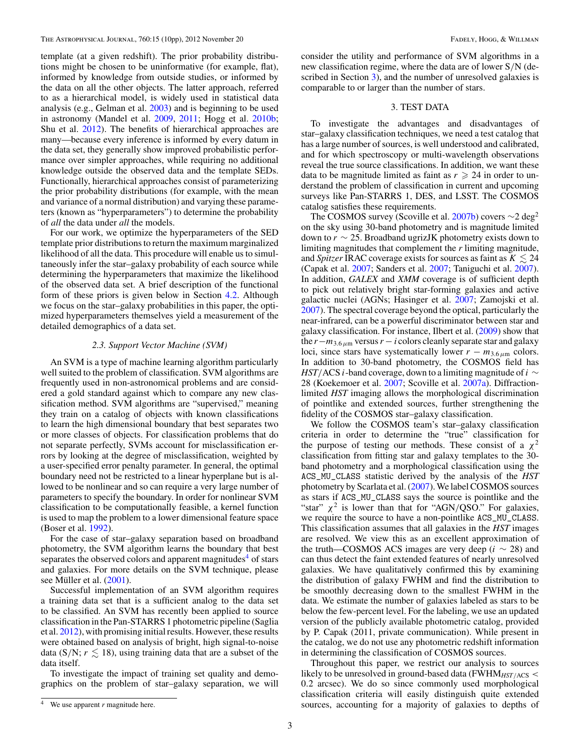<span id="page-3-0"></span>template (at a given redshift). The prior probability distributions might be chosen to be uninformative (for example, flat), informed by knowledge from outside studies, or informed by the data on all the other objects. The latter approach, referred to as a hierarchical model, is widely used in statistical data analysis (e.g., Gelman et al. [2003\)](#page-10-0) and is beginning to be used in astronomy (Mandel et al. [2009,](#page-10-0) [2011;](#page-10-0) Hogg et al. [2010b;](#page-10-0) Shu et al. [2012\)](#page-10-0). The benefits of hierarchical approaches are many—because every inference is informed by every datum in the data set, they generally show improved probabilistic performance over simpler approaches, while requiring no additional knowledge outside the observed data and the template SEDs. Functionally, hierarchical approaches consist of parameterizing the prior probability distributions (for example, with the mean and variance of a normal distribution) and varying these parameters (known as "hyperparameters") to determine the probability of *all* the data under *all* the models.

For our work, we optimize the hyperparameters of the SED template prior distributions to return the maximum marginalized likelihood of all the data. This procedure will enable us to simultaneously infer the star–galaxy probability of each source while determining the hyperparameters that maximize the likelihood of the observed data set. A brief description of the functional form of these priors is given below in Section [4.2.](#page-4-0) Although we focus on the star–galaxy probabilities in this paper, the optimized hyperparameters themselves yield a measurement of the detailed demographics of a data set.

## *2.3. Support Vector Machine (SVM)*

An SVM is a type of machine learning algorithm particularly well suited to the problem of classification. SVM algorithms are frequently used in non-astronomical problems and are considered a gold standard against which to compare any new classification method. SVM algorithms are "supervised," meaning they train on a catalog of objects with known classifications to learn the high dimensional boundary that best separates two or more classes of objects. For classification problems that do not separate perfectly, SVMs account for misclassification errors by looking at the degree of misclassification, weighted by a user-specified error penalty parameter. In general, the optimal boundary need not be restricted to a linear hyperplane but is allowed to be nonlinear and so can require a very large number of parameters to specify the boundary. In order for nonlinear SVM classification to be computationally feasible, a kernel function is used to map the problem to a lower dimensional feature space (Boser et al. [1992\)](#page-10-0).

For the case of star–galaxy separation based on broadband photometry, the SVM algorithm learns the boundary that best separates the observed colors and apparent magnitudes<sup>4</sup> of stars and galaxies. For more details on the SVM technique, please see Müller et al.  $(2001)$  $(2001)$ .

Successful implementation of an SVM algorithm requires a training data set that is a sufficient analog to the data set to be classified. An SVM has recently been applied to source classification in the Pan-STARRS 1 photometric pipeline (Saglia et al. [2012\)](#page-10-0), with promising initial results. However, these results were obtained based on analysis of bright, high signal-to-noise data (S/N;  $r \leq 18$ ), using training data that are a subset of the data itself.

To investigate the impact of training set quality and demographics on the problem of star–galaxy separation, we will consider the utility and performance of SVM algorithms in a new classification regime, where the data are of lower S*/*N (described in Section 3), and the number of unresolved galaxies is comparable to or larger than the number of stars.

#### 3. TEST DATA

To investigate the advantages and disadvantages of star–galaxy classification techniques, we need a test catalog that has a large number of sources, is well understood and calibrated, and for which spectroscopy or multi-wavelength observations reveal the true source classifications. In addition, we want these data to be magnitude limited as faint as  $r \geq 24$  in order to understand the problem of classification in current and upcoming surveys like Pan-STARRS 1, DES, and LSST. The COSMOS catalog satisfies these requirements.

The COSMOS survey (Scoville et al. [2007b\)](#page-10-0) covers  $\sim$ 2 deg<sup>2</sup> on the sky using 30-band photometry and is magnitude limited down to  $r \sim 25$ . Broadband ugrizJK photometry exists down to limiting magnitudes that complement the *r* limiting magnitude, and *Spitzer* IRAC coverage exists for sources as faint as  $K \leq 24$ (Capak et al. [2007;](#page-10-0) Sanders et al. [2007;](#page-10-0) Taniguchi et al. [2007\)](#page-10-0). In addition, *GALEX* and *XMM* coverage is of sufficient depth to pick out relatively bright star-forming galaxies and active galactic nuclei (AGNs; Hasinger et al. [2007;](#page-10-0) Zamojski et al. [2007\)](#page-10-0). The spectral coverage beyond the optical, particularly the near-infrared, can be a powerful discriminator between star and galaxy classification. For instance, Ilbert et al. [\(2009\)](#page-10-0) show that the *r*−*m*3*.*6*μ*<sup>m</sup> versus*r* − *i* colors cleanly separate star and galaxy loci, since stars have systematically lower  $r - m_{3.6 \mu m}$  colors. In addition to 30-band photometry, the COSMOS field has *HST/*ACS *i*-band coverage, down to a limiting magnitude of *i* ∼ 28 (Koekemoer et al. [2007;](#page-10-0) Scoville et al. [2007a\)](#page-10-0). Diffractionlimited *HST* imaging allows the morphological discrimination of pointlike and extended sources, further strengthening the fidelity of the COSMOS star–galaxy classification.

We follow the COSMOS team's star–galaxy classification criteria in order to determine the "true" classification for the purpose of testing our methods. These consist of a  $\chi^2$ classification from fitting star and galaxy templates to the 30 band photometry and a morphological classification using the ACS\_MU\_CLASS statistic derived by the analysis of the *HST* photometry by Scarlata et al. [\(2007\)](#page-10-0). We label COSMOS sources as stars if ACS\_MU\_CLASS says the source is pointlike and the "star" *χ*<sup>2</sup> is lower than that for "AGN*/*QSO." For galaxies, we require the source to have a non-pointlike ACS\_MU\_CLASS. This classification assumes that all galaxies in the *HST* images are resolved. We view this as an excellent approximation of the truth—COSMOS ACS images are very deep  $(i \sim 28)$  and can thus detect the faint extended features of nearly unresolved galaxies. We have qualitatively confirmed this by examining the distribution of galaxy FWHM and find the distribution to be smoothly decreasing down to the smallest FWHM in the data. We estimate the number of galaxies labeled as stars to be below the few-percent level. For the labeling, we use an updated version of the publicly available photometric catalog, provided by P. Capak (2011, private communication). While present in the catalog, we do not use any photometric redshift information in determining the classification of COSMOS sources.

Throughout this paper, we restrict our analysis to sources likely to be unresolved in ground-based data (FWHM*HST/*ACS *<* 0*.*2 arcsec). We do so since commonly used morphological classification criteria will easily distinguish quite extended sources, accounting for a majority of galaxies to depths of

We use apparent  $r$  magnitude here.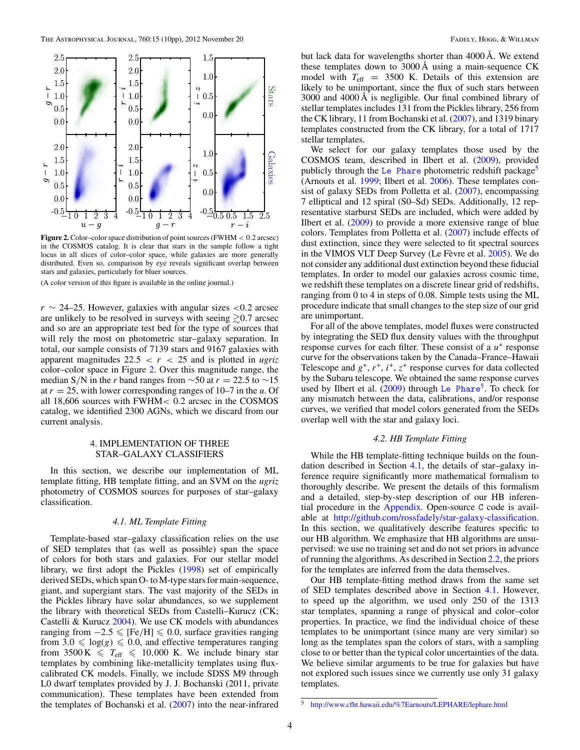<span id="page-4-0"></span>

*<sup>−</sup>*0*.*<sup>5</sup> <sup>0</sup>*.*<sup>5</sup> <sup>1</sup>*.*<sup>5</sup> <sup>2</sup>*.*<sup>5</sup> *r <sup>−</sup> i* -0.5 **Figure 2.** Color–color space distribution of point sources (FWHM *<* 0*.*2 arcsec) in the COSMOS catalog. It is clear that stars in the sample follow a tight locus in all slices of color–color space, while galaxies are more generally distributed. Even so, comparison by eye reveals significant overlap between stars and galaxies, particularly for bluer sources.

*−*1 0 1 2 3 4 *g <sup>−</sup> r*

(A color version of this figure is available in the online journal.)

-0.5

*−*1 0 1 2 3 4 *u <sup>−</sup> g*

-0.5

*g − r*

*r* ∼ 24–25. However, galaxies with angular sizes *<*0*.*2 arcsec are unlikely to be resolved in surveys with seeing  $\gtrsim$  0.7 arcsec and so are an appropriate test bed for the type of sources that will rely the most on photometric star–galaxy separation. In total, our sample consists of 7139 stars and 9167 galaxies with apparent magnitudes  $22.5 < r < 25$  and is plotted in *ugriz* color–color space in Figure 2. Over this magnitude range, the median S/N in the *r* band ranges from  $\sim$ 50 at *r* = 22.5 to  $\sim$ 15 at  $r = 25$ , with lower corresponding ranges of 10–7 in the *u*. Of all 18,606 sources with FWHM*<* 0*.*2 arcsec in the COSMOS catalog, we identified 2300 AGNs, which we discard from our current analysis.

## 4. IMPLEMENTATION OF THREE STAR–GALAXY CLASSIFIERS

In this section, we describe our implementation of ML template fitting, HB template fitting, and an SVM on the *ugriz* photometry of COSMOS sources for purposes of star–galaxy classification.

#### *4.1. ML Template Fitting*

Template-based star–galaxy classification relies on the use of SED templates that (as well as possible) span the space of colors for both stars and galaxies. For our stellar model library, we first adopt the Pickles [\(1998\)](#page-10-0) set of empirically derived SEDs, which span O- to M-type stars for main-sequence, giant, and supergiant stars. The vast majority of the SEDs in the Pickles library have solar abundances, so we supplement the library with theoretical SEDs from Castelli–Kurucz (CK; Castelli & Kurucz  $2004$ ). We use CK models with abundances ranging from  $-2.5 \leq$  [Fe/H]  $\leq 0.0$ , surface gravities ranging from  $3.0 \leq \log(g) \leq 0.0$ , and effective temperatures ranging from 3500 K  $\leq T_{\text{eff}} \leq 10,000$  K. We include binary star templates by combining like-metallicity templates using fluxcalibrated CK models. Finally, we include SDSS M9 through L0 dwarf templates provided by J. J. Bochanski (2011, private communication). These templates have been extended from the templates of Bochanski et al. [\(2007\)](#page-10-0) into the near-infrared

but lack data for wavelengths shorter than 4000 Å. We extend these templates down to 3000 Å using a main-sequence CK model with  $T_{\text{eff}}$  = 3500 K. Details of this extension are likely to be unimportant, since the flux of such stars between 3000 and 4000 Å is negligible. Our final combined library of stellar templates includes 131 from the Pickles library, 256 from the CK library, 11 from Bochanski et al. [\(2007\)](#page-10-0), and 1319 binary templates constructed from the CK library, for a total of 1717 stellar templates.

We select for our galaxy templates those used by the COSMOS team, described in Ilbert et al. [\(2009\)](#page-10-0), provided publicly through the [Le Phare](http://www.cfht.hawaii.edu/$delimiter "026E30F $%7Earnouts/LEPHARE/lephare.html) photometric redshift package<sup>5</sup> (Arnouts et al. [1999;](#page-10-0) Ilbert et al. [2006\)](#page-10-0). These templates consist of galaxy SEDs from Polletta et al. [\(2007\)](#page-10-0), encompassing 7 elliptical and 12 spiral (S0–Sd) SEDs. Additionally, 12 representative starburst SEDs are included, which were added by Ilbert et al. [\(2009\)](#page-10-0) to provide a more extensive range of blue colors. Templates from Polletta et al. [\(2007\)](#page-10-0) include effects of dust extinction, since they were selected to fit spectral sources in the VIMOS VLT Deep Survey (Le Fèvre et al. [2005\)](#page-10-0). We do not consider any additional dust extinction beyond these fiducial templates. In order to model our galaxies across cosmic time, we redshift these templates on a discrete linear grid of redshifts, ranging from 0 to 4 in steps of 0.08. Simple tests using the ML procedure indicate that small changes to the step size of our grid are unimportant.

For all of the above templates, model fluxes were constructed by integrating the SED flux density values with the throughput response curves for each filter. These consist of a *u*<sup>∗</sup> response curve for the observations taken by the Canada–France–Hawaii Telescope and  $g^+, r^+, i^+, z^+$  response curves for data collected by the Subaru telescope. We obtained the same response curves used by Ilbert et al.  $(2009)$  through [Le Phare](http://www.cfht.hawaii.edu/$delimiter "026E30F $%7Earnouts/LEPHARE/lephare.html)<sup>5</sup>. To check for any mismatch between the data, calibrations, and/or response curves, we verified that model colors generated from the SEDs overlap well with the star and galaxy loci.

## *4.2. HB Template Fitting*

While the HB template-fitting technique builds on the foundation described in Section 4.1, the details of star–galaxy inference require significantly more mathematical formalism to thoroughly describe. We present the details of this formalism and a detailed, step-by-step description of our HB inferential procedure in the [Appendix.](#page-9-0) Open-source C code is available at [http://github.com/rossfadely/star-galaxy-classification.](http://github.com/rossfadely/star-galaxy-classification) In this section, we qualitatively describe features specific to our HB algorithm. We emphasize that HB algorithms are unsupervised: we use no training set and do not set priors in advance of running the algorithms. As described in Section [2.2,](#page-2-0) the priors for the templates are inferred from the data themselves.

Our HB template-fitting method draws from the same set of SED templates described above in Section 4.1. However, to speed up the algorithm, we used only 250 of the 1313 star templates, spanning a range of physical and color–color properties. In practice, we find the individual choice of these templates to be unimportant (since many are very similar) so long as the templates span the colors of stars, with a sampling close to or better than the typical color uncertainties of the data. We believe similar arguments to be true for galaxies but have not explored such issues since we currently use only 31 galaxy templates.

<sup>5</sup> [http://www.cfht.hawaii.edu/%7Earnouts/LEPHARE/lephare.html](http://www.cfht.hawaii.edu/egingroup count@ 37
elax 
elax uccode `~count@ uppercase {gdef 0{~}}endgroup setbox 	hr@@ hbox {0}dimen z@ wd 	hr@@ 07Earnouts/LEPHARE/lephare.html)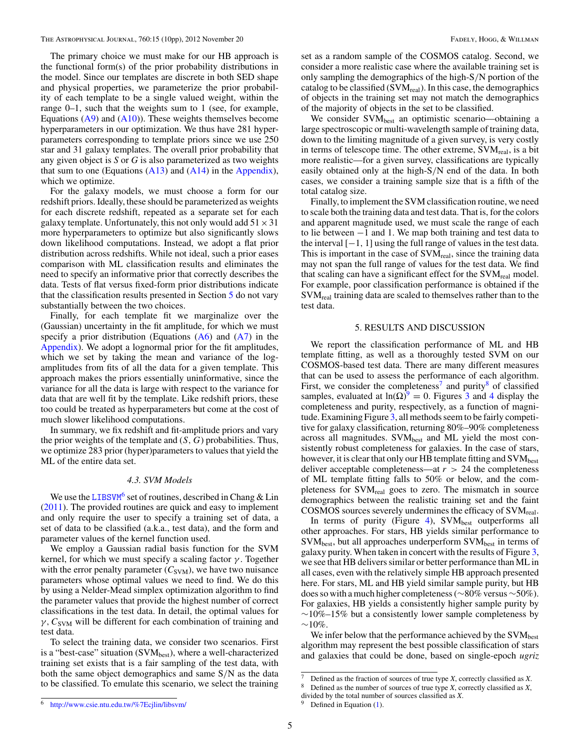<span id="page-5-0"></span>The primary choice we must make for our HB approach is the functional form(s) of the prior probability distributions in the model. Since our templates are discrete in both SED shape and physical properties, we parameterize the prior probability of each template to be a single valued weight, within the range 0–1, such that the weights sum to 1 (see, for example, Equations  $(A9)$  and  $(A10)$ ). These weights themselves become hyperparameters in our optimization. We thus have 281 hyperparameters corresponding to template priors since we use 250 star and 31 galaxy templates. The overall prior probability that any given object is *S* or *G* is also parameterized as two weights that sum to one (Equations  $(A13)$  and  $(A14)$  in the [Appendix\)](#page-9-0), which we optimize.

For the galaxy models, we must choose a form for our redshift priors. Ideally, these should be parameterized as weights for each discrete redshift, repeated as a separate set for each galaxy template. Unfortunately, this not only would add  $51 \times 31$ more hyperparameters to optimize but also significantly slows down likelihood computations. Instead, we adopt a flat prior distribution across redshifts. While not ideal, such a prior eases comparison with ML classification results and eliminates the need to specify an informative prior that correctly describes the data. Tests of flat versus fixed-form prior distributions indicate that the classification results presented in Section 5 do not vary substantially between the two choices.

Finally, for each template fit we marginalize over the (Gaussian) uncertainty in the fit amplitude, for which we must specify a prior distribution (Equations  $(A6)$  and  $(A7)$  in the [Appendix\)](#page-9-0). We adopt a lognormal prior for the fit amplitudes, which we set by taking the mean and variance of the logamplitudes from fits of all the data for a given template. This approach makes the priors essentially uninformative, since the variance for all the data is large with respect to the variance for data that are well fit by the template. Like redshift priors, these too could be treated as hyperparameters but come at the cost of much slower likelihood computations.

In summary, we fix redshift and fit-amplitude priors and vary the prior weights of the template and (*S,G*) probabilities. Thus, we optimize 283 prior (hyper)parameters to values that yield the ML of the entire data set.

## *4.3. SVM Models*

We use the [LIBSVM](http://www.csie.ntu.edu.tw/$delimiter "026E30F $%7Ecjlin/libsvm/)<sup>6</sup> set of routines, described in Chang  $& Lin$ [\(2011\)](#page-10-0). The provided routines are quick and easy to implement and only require the user to specify a training set of data, a set of data to be classified (a.k.a., test data), and the form and parameter values of the kernel function used.

We employ a Gaussian radial basis function for the SVM kernel, for which we must specify a scaling factor *γ* . Together with the error penalty parameter  $(C_{\text{SVM}})$ , we have two nuisance parameters whose optimal values we need to find. We do this by using a Nelder-Mead simplex optimization algorithm to find the parameter values that provide the highest number of correct classifications in the test data. In detail, the optimal values for *γ*,  $C_{\text{SVM}}$  will be different for each combination of training and test data.

To select the training data, we consider two scenarios. First is a "best-case" situation  $(SVM_{best})$ , where a well-characterized training set exists that is a fair sampling of the test data, with both the same object demographics and same S*/*N as the data to be classified. To emulate this scenario, we select the training

set as a random sample of the COSMOS catalog. Second, we consider a more realistic case where the available training set is only sampling the demographics of the high-S*/*N portion of the catalog to be classified (SVM<sub>real</sub>). In this case, the demographics of objects in the training set may not match the demographics of the majority of objects in the set to be classified.

We consider SVM<sub>best</sub> an optimistic scenario—obtaining a large spectroscopic or multi-wavelength sample of training data, down to the limiting magnitude of a given survey, is very costly in terms of telescope time. The other extreme,  $\text{SVM}_\text{real}$ , is a bit more realistic—for a given survey, classifications are typically easily obtained only at the high-S*/*N end of the data. In both cases, we consider a training sample size that is a fifth of the total catalog size.

Finally, to implement the SVM classification routine, we need to scale both the training data and test data. That is, for the colors and apparent magnitude used, we must scale the range of each to lie between −1 and 1. We map both training and test data to the interval [−1*,* 1] using the full range of values in the test data. This is important in the case of  $\text{SVM}_\text{real}$ , since the training data may not span the full range of values for the test data. We find that scaling can have a significant effect for the  $\text{SVM}_\text{real}$  model. For example, poor classification performance is obtained if the SVM<sub>real</sub> training data are scaled to themselves rather than to the test data.

## 5. RESULTS AND DISCUSSION

We report the classification performance of ML and HB template fitting, as well as a thoroughly tested SVM on our COSMOS-based test data. There are many different measures that can be used to assess the performance of each algorithm. First, we consider the completeness<sup>7</sup> and purity<sup>8</sup> of classified samples, evaluated at  $ln(\Omega)^9 = 0$ . Figures [3](#page-6-0) and [4](#page-6-0) display the completeness and purity, respectively, as a function of magnitude. Examining Figure [3,](#page-6-0) all methods seem to be fairly competitive for galaxy classification, returning 80%–90% completeness across all magnitudes. SVM<sub>best</sub> and ML yield the most consistently robust completeness for galaxies. In the case of stars, however, it is clear that only our HB template fitting and  $\text{SVM}_\text{best}$ deliver acceptable completeness—at *r >* 24 the completeness of ML template fitting falls to 50% or below, and the completeness for SVM<sub>real</sub> goes to zero. The mismatch in source demographics between the realistic training set and the faint COSMOS sources severely undermines the efficacy of SVM<sub>real</sub>.

In terms of purity (Figure [4\)](#page-6-0),  $\text{SVM}_{\text{best}}$  outperforms all other approaches. For stars, HB yields similar performance to  $SVM<sub>best</sub>$ , but all approaches underperform  $SVM<sub>best</sub>$  in terms of galaxy purity. When taken in concert with the results of Figure [3,](#page-6-0) we see that HB delivers similar or better performance than ML in all cases, even with the relatively simple HB approach presented here. For stars, ML and HB yield similar sample purity, but HB does so with a much higher completeness (∼80% versus ∼50%). For galaxies, HB yields a consistently higher sample purity by  $~\sim$ 10%–15% but a consistently lower sample completeness by  $~10\%$ .

We infer below that the performance achieved by the  $\text{SVM}_\text{best}$ algorithm may represent the best possible classification of stars and galaxies that could be done, based on single-epoch *ugriz*

<sup>&</sup>lt;sup>7</sup> Defined as the fraction of sources of true type *X*, correctly classified as *X*.

<sup>8</sup> Defined as the number of sources of true type *X*, correctly classified as *X*,

divided by the total number of sources classified as *X*.

Defined in Equation  $(1)$ .

<sup>6</sup> [http://www.csie.ntu.edu.tw/%7Ecjlin/libsvm/](http://www.csie.ntu.edu.tw/egingroup count@ 37
elax 
elax uccode `~count@ uppercase {gdef 0{~}}endgroup setbox 	hr@@ hbox {0}dimen z@ wd 	hr@@ 07Ecjlin/libsvm/)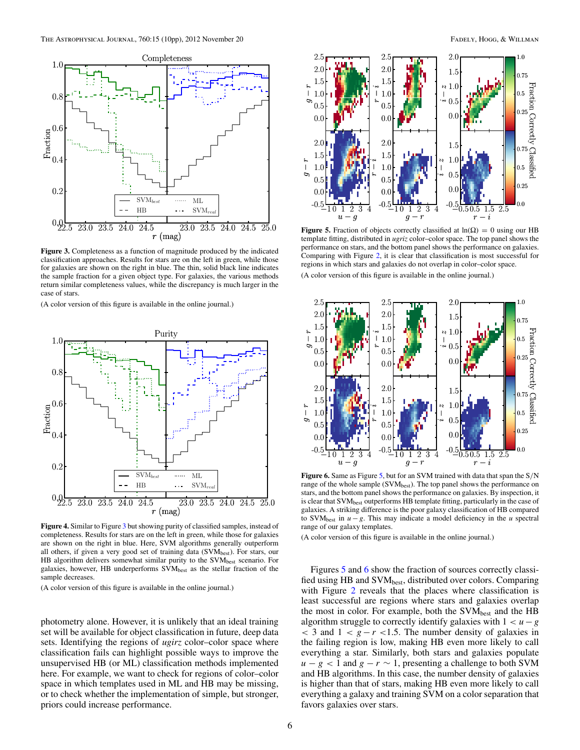<span id="page-6-0"></span>

**Figure 3.** Completeness as a function of magnitude produced by the indicated classification approaches. Results for stars are on the left in green, while those for galaxies are shown on the right in blue. The thin, solid black line indicates the sample fraction for a given object type. For galaxies, the various methods return similar completeness values, while the discrepancy is much larger in the case of stars.

(A color version of this figure is available in the online journal.)



**Figure 4.** Similar to Figure 3 but showing purity of classified samples, instead of completeness. Results for stars are on the left in green, while those for galaxies are shown on the right in blue. Here, SVM algorithms generally outperform all others, if given a very good set of training data (SVMbest). For stars, our HB algorithm delivers somewhat similar purity to the SVM<sub>best</sub> scenario. For galaxies, however, HB underperforms SVM<sub>best</sub> as the stellar fraction of the sample decreases.

(A color version of this figure is available in the online journal.)

photometry alone. However, it is unlikely that an ideal training set will be available for object classification in future, deep data sets. Identifying the regions of *ugirz* color–color space where classification fails can highlight possible ways to improve the unsupervised HB (or ML) classification methods implemented here. For example, we want to check for regions of color–color space in which templates used in ML and HB may be missing, or to check whether the implementation of simple, but stronger, priors could increase performance.



template fitting, distributed in *ugriz* color–color space. The top panel shows the performance on stars, and the bottom panel shows the performance on galaxies. Comparing with Figure [2,](#page-4-0) it is clear that classification is most successful for regions in which stars and galaxies do not overlap in color–color space. (A color version of this figure is available in the online journal.)



range of the whole sample (SVM<sub>best</sub>). The top panel shows the performance on stars, and the bottom panel shows the performance on galaxies. By inspection, it is clear that SVM<sub>best</sub> outperforms HB template fitting, particularly in the case of galaxies. A striking difference is the poor galaxy classification of HB compared to SVM<sub>best</sub> in  $u - g$ . This may indicate a model deficiency in the *u* spectral range of our galaxy templates.

(A color version of this figure is available in the online journal.)

Figures 5 and 6 show the fraction of sources correctly classified using HB and  $\text{SVM}_\text{best}$ , distributed over colors. Comparing with Figure [2](#page-4-0) reveals that the places where classification is least successful are regions where stars and galaxies overlap the most in color. For example, both the  $\text{SVM}_{\text{best}}$  and the HB algorithm struggle to correctly identify galaxies with  $1 < u-g$ *<* 3 and 1 *< g* − *r <*1.5. The number density of galaxies in the failing region is low, making HB even more likely to call everything a star. Similarly, both stars and galaxies populate  $u - g < 1$  and  $g - r \sim 1$ , presenting a challenge to both SVM and HB algorithms. In this case, the number density of galaxies is higher than that of stars, making HB even more likely to call everything a galaxy and training SVM on a color separation that favors galaxies over stars.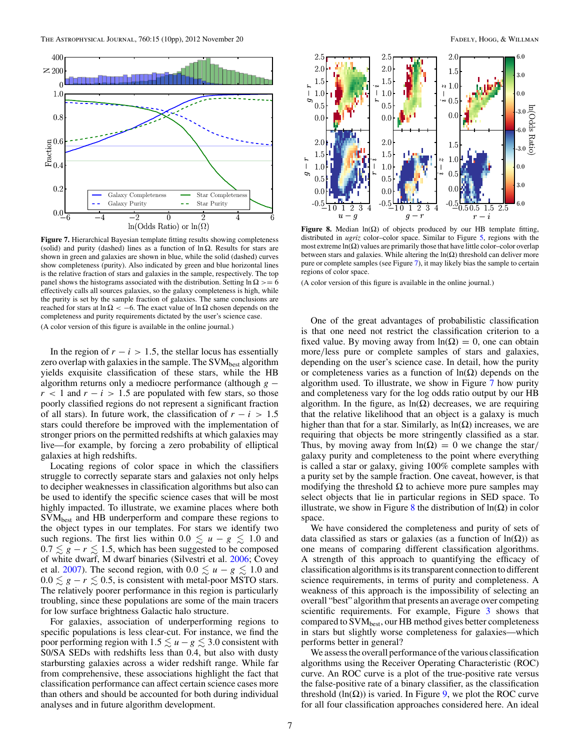

**Figure 7.** Hierarchical Bayesian template fitting results showing completeness (solid) and purity (dashed) lines as a function of  $\ln \Omega$ . Results for stars are shown in green and galaxies are shown in blue, while the solid (dashed) curves show completeness (purity). Also indicated by green and blue horizontal lines is the relative fraction of stars and galaxies in the sample, respectively. The top panel shows the histograms associated with the distribution. Setting  $\ln \Omega$  >= 6 effectively calls all sources galaxies, so the galaxy completeness is high, while the purity is set by the sample fraction of galaxies. The same conclusions are reached for stars at  $ln Ω < -6$ . The exact value of  $ln Ω$  chosen depends on the completeness and purity requirements dictated by the user's science case. (A color version of this figure is available in the online journal.)

In the region of  $r - i > 1.5$ , the stellar locus has essentially zero overlap with galaxies in the sample. The  $SVM<sub>best</sub>$  algorithm yields exquisite classification of these stars, while the HB algorithm returns only a mediocre performance (although *g* −  $r < 1$  and  $r - i > 1.5$  are populated with few stars, so those poorly classified regions do not represent a significant fraction of all stars). In future work, the classification of  $r - i > 1.5$ stars could therefore be improved with the implementation of stronger priors on the permitted redshifts at which galaxies may live—for example, by forcing a zero probability of elliptical galaxies at high redshifts.

Locating regions of color space in which the classifiers struggle to correctly separate stars and galaxies not only helps to decipher weaknesses in classification algorithms but also can be used to identify the specific science cases that will be most highly impacted. To illustrate, we examine places where both SVM<sub>best</sub> and HB underperform and compare these regions to the object types in our templates. For stars we identify two such regions. The first lies within  $0.0 \le u - g \le 1.0$  and  $0.7 \lesssim g - r \lesssim 1.5$ , which has been suggested to be composed of white dwarf, M dwarf binaries (Silvestri et al. [2006;](#page-10-0) Covey et al. [2007\)](#page-10-0). The second region, with  $0.0 \le u - g \le 1.0$  and  $0.0 \leq g - r \leq 0.5$ , is consistent with metal-poor MSTO stars. The relatively poorer performance in this region is particularly troubling, since these populations are some of the main tracers for low surface brightness Galactic halo structure.

For galaxies, association of underperforming regions to specific populations is less clear-cut. For instance, we find the poor performing region with  $1.5 \le u-g \le 3.0$  consistent with S0/SA SEDs with redshifts less than 0.4, but also with dusty starbursting galaxies across a wider redshift range. While far from comprehensive, these associations highlight the fact that classification performance can affect certain science cases more than others and should be accounted for both during individual analyses and in future algorithm development.



**Figure 8.** Median  $ln(\Omega)$  of objects produced by our HB template fitting, distributed in *ugriz* color–color space. Similar to Figure [5,](#page-6-0) regions with the most extreme  $ln(\Omega)$  values are primarily those that have little color–color overlap between stars and galaxies. While altering the  $ln(\Omega)$  threshold can deliver more pure or complete samples (see Figure 7), it may likely bias the sample to certain regions of color space.

(A color version of this figure is available in the online journal.)

One of the great advantages of probabilistic classification is that one need not restrict the classification criterion to a fixed value. By moving away from  $ln(\Omega) = 0$ , one can obtain more/less pure or complete samples of stars and galaxies, depending on the user's science case. In detail, how the purity or completeness varies as a function of  $ln(\Omega)$  depends on the algorithm used. To illustrate, we show in Figure 7 how purity and completeness vary for the log odds ratio output by our HB algorithm. In the figure, as  $ln(\Omega)$  decreases, we are requiring that the relative likelihood that an object is a galaxy is much higher than that for a star. Similarly, as  $ln(\Omega)$  increases, we are requiring that objects be more stringently classified as a star. Thus, by moving away from  $ln(\Omega) = 0$  we change the star/ galaxy purity and completeness to the point where everything is called a star or galaxy, giving 100% complete samples with a purity set by the sample fraction. One caveat, however, is that modifying the threshold  $\Omega$  to achieve more pure samples may select objects that lie in particular regions in SED space. To illustrate, we show in Figure 8 the distribution of  $ln(\Omega)$  in color space.

We have considered the completeness and purity of sets of data classified as stars or galaxies (as a function of  $ln(\Omega)$ ) as one means of comparing different classification algorithms. A strength of this approach to quantifying the efficacy of classification algorithms is its transparent connection to different science requirements, in terms of purity and completeness. A weakness of this approach is the impossibility of selecting an overall "best" algorithm that presents an average over competing scientific requirements. For example, Figure [3](#page-6-0) shows that compared to  $\text{SVM}_{\text{best}}$ , our HB method gives better completeness in stars but slightly worse completeness for galaxies—which performs better in general?

We assess the overall performance of the various classification algorithms using the Receiver Operating Characteristic (ROC) curve. An ROC curve is a plot of the true-positive rate versus the false-positive rate of a binary classifier, as the classification threshold (ln( $\Omega$ )) is varied. In Figure [9,](#page-8-0) we plot the ROC curve for all four classification approaches considered here. An ideal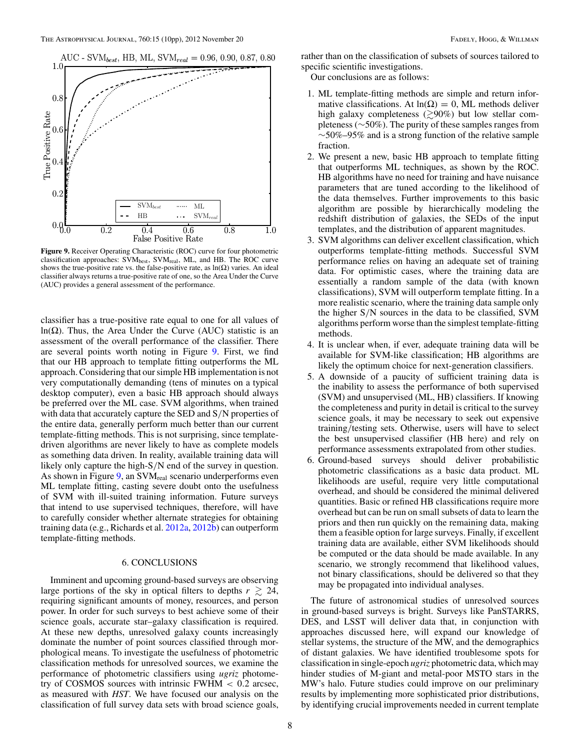<span id="page-8-0"></span>

**Figure 9.** Receiver Operating Characteristic (ROC) curve for four photometric classification approaches: SVM<sub>best</sub>, SVM<sub>real</sub>, ML, and HB. The ROC curve shows the true-positive rate vs. the false-positive rate, as  $ln(\Omega)$  varies. An ideal classifier always returns a true-positive rate of one, so the Area Under the Curve (AUC) provides a general assessment of the performance.

classifier has a true-positive rate equal to one for all values of ln( $Ω$ ). Thus, the Area Under the Curve (AUC) statistic is an assessment of the overall performance of the classifier. There are several points worth noting in Figure 9. First, we find that our HB approach to template fitting outperforms the ML approach. Considering that our simple HB implementation is not very computationally demanding (tens of minutes on a typical desktop computer), even a basic HB approach should always be preferred over the ML case. SVM algorithms, when trained with data that accurately capture the SED and S*/*N properties of the entire data, generally perform much better than our current template-fitting methods. This is not surprising, since templatedriven algorithms are never likely to have as complete models as something data driven. In reality, available training data will likely only capture the high-S*/*N end of the survey in question. As shown in Figure  $9$ , an SVM<sub>real</sub> scenario underperforms even ML template fitting, casting severe doubt onto the usefulness of SVM with ill-suited training information. Future surveys that intend to use supervised techniques, therefore, will have to carefully consider whether alternate strategies for obtaining training data (e.g., Richards et al. [2012a,](#page-10-0) [2012b\)](#page-10-0) can outperform template-fitting methods.

## 6. CONCLUSIONS

Imminent and upcoming ground-based surveys are observing large portions of the sky in optical filters to depths  $r \gtrsim 24$ , requiring significant amounts of money, resources, and person power. In order for such surveys to best achieve some of their science goals, accurate star–galaxy classification is required. At these new depths, unresolved galaxy counts increasingly dominate the number of point sources classified through morphological means. To investigate the usefulness of photometric classification methods for unresolved sources, we examine the performance of photometric classifiers using *ugriz* photometry of COSMOS sources with intrinsic FWHM *<* 0*.*2 arcsec, as measured with *HST*. We have focused our analysis on the classification of full survey data sets with broad science goals,

rather than on the classification of subsets of sources tailored to specific scientific investigations.

Our conclusions are as follows:

- 1. ML template-fitting methods are simple and return informative classifications. At  $ln(\Omega) = 0$ , ML methods deliver high galaxy completeness ( $\gtrsim$ 90%) but low stellar completeness (∼50%). The purity of these samples ranges from  $~\sim$ 50%–95% and is a strong function of the relative sample fraction.
- 2. We present a new, basic HB approach to template fitting that outperforms ML techniques, as shown by the ROC. HB algorithms have no need for training and have nuisance parameters that are tuned according to the likelihood of the data themselves. Further improvements to this basic algorithm are possible by hierarchically modeling the redshift distribution of galaxies, the SEDs of the input templates, and the distribution of apparent magnitudes.
- 3. SVM algorithms can deliver excellent classification, which outperforms template-fitting methods. Successful SVM performance relies on having an adequate set of training data. For optimistic cases, where the training data are essentially a random sample of the data (with known classifications), SVM will outperform template fitting. In a more realistic scenario, where the training data sample only the higher S*/*N sources in the data to be classified, SVM algorithms perform worse than the simplest template-fitting methods.
- 4. It is unclear when, if ever, adequate training data will be available for SVM-like classification; HB algorithms are likely the optimum choice for next-generation classifiers.
- 5. A downside of a paucity of sufficient training data is the inability to assess the performance of both supervised (SVM) and unsupervised (ML, HB) classifiers. If knowing the completeness and purity in detail is critical to the survey science goals, it may be necessary to seek out expensive training*/*testing sets. Otherwise, users will have to select the best unsupervised classifier (HB here) and rely on performance assessments extrapolated from other studies.
- 6. Ground-based surveys should deliver probabilistic photometric classifications as a basic data product. ML likelihoods are useful, require very little computational overhead, and should be considered the minimal delivered quantities. Basic or refined HB classifications require more overhead but can be run on small subsets of data to learn the priors and then run quickly on the remaining data, making them a feasible option for large surveys. Finally, if excellent training data are available, either SVM likelihoods should be computed or the data should be made available. In any scenario, we strongly recommend that likelihood values, not binary classifications, should be delivered so that they may be propagated into individual analyses.

The future of astronomical studies of unresolved sources in ground-based surveys is bright. Surveys like PanSTARRS, DES, and LSST will deliver data that, in conjunction with approaches discussed here, will expand our knowledge of stellar systems, the structure of the MW, and the demographics of distant galaxies. We have identified troublesome spots for classification in single-epoch *ugriz* photometric data, which may hinder studies of M-giant and metal-poor MSTO stars in the MW's halo. Future studies could improve on our preliminary results by implementing more sophisticated prior distributions, by identifying crucial improvements needed in current template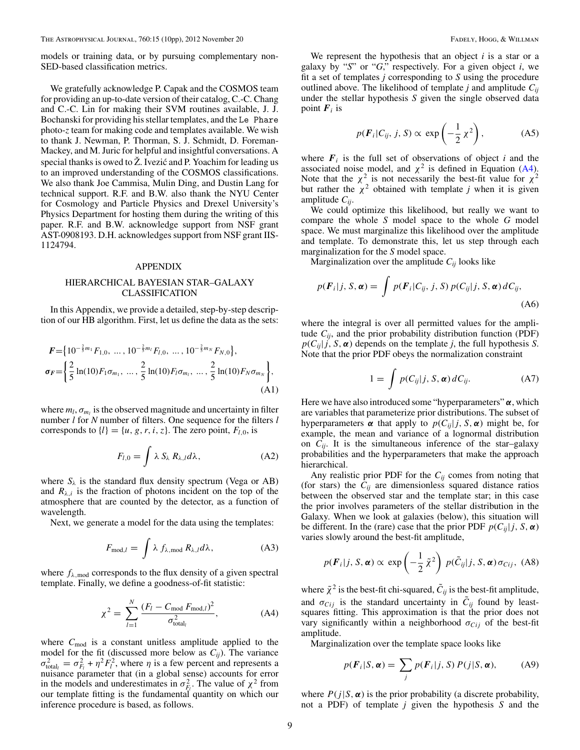<span id="page-9-0"></span>models or training data, or by pursuing complementary non-SED-based classification metrics.

We gratefully acknowledge P. Capak and the COSMOS team for providing an up-to-date version of their catalog, C.-C. Chang and C.-C. Lin for making their SVM routines available, J. J. Bochanski for providing his stellar templates, and the Le Phare photo-*z* team for making code and templates available. We wish to thank J. Newman, P. Thorman, S. J. Schmidt, D. Foreman-Mackey, and M. Juric for helpful and insightful conversations. A special thanks is owed to  $\dot{Z}$ . Ivezic and P. Yoachim for leading us to an improved understanding of the COSMOS classifications. We also thank Joe Cammisa, Mulin Ding, and Dustin Lang for technical support. R.F. and B.W. also thank the NYU Center for Cosmology and Particle Physics and Drexel University's Physics Department for hosting them during the writing of this paper. R.F. and B.W. acknowledge support from NSF grant AST-0908193. D.H. acknowledges support from NSF grant IIS-1124794.

#### APPENDIX

## HIERARCHICAL BAYESIAN STAR–GALAXY CLASSIFICATION

In this Appendix, we provide a detailed, step-by-step description of our HB algorithm. First, let us define the data as the sets:

$$
F = \left\{ 10^{-\frac{2}{5}m_1} F_{1,0}, \dots, 10^{-\frac{2}{5}m_l} F_{l,0}, \dots, 10^{-\frac{2}{5}m_N} F_{N,0} \right\},\,
$$

$$
\sigma_F = \left\{ \frac{2}{5} \ln(10) F_1 \sigma_{m_1}, \dots, \frac{2}{5} \ln(10) F_l \sigma_{m_l}, \dots, \frac{2}{5} \ln(10) F_N \sigma_{m_N} \right\},\tag{A1}
$$

where  $m_l$ ,  $\sigma_{m_l}$  is the observed magnitude and uncertainty in filter number *l* for *N* number of filters. One sequence for the filters *l* corresponds to  $\{l\}=\{u, g, r, i, z\}$ . The zero point,  $F_{l,0}$ , is

$$
F_{l,0} = \int \lambda \, S_{\lambda} \, R_{\lambda,l} d\lambda, \tag{A2}
$$

where  $S_{\lambda}$  is the standard flux density spectrum (Vega or AB) and  $R_{\lambda,i}$  is the fraction of photons incident on the top of the atmosphere that are counted by the detector, as a function of wavelength.

Next, we generate a model for the data using the templates:

$$
F_{\text{mod},l} = \int \lambda \, f_{\lambda,\text{mod}} \, R_{\lambda,l} d\lambda, \tag{A3}
$$

where  $f_{\lambda, \text{mod}}$  corresponds to the flux density of a given spectral template. Finally, we define a goodness-of-fit statistic:

$$
\chi^{2} = \sum_{l=1}^{N} \frac{(F_{l} - C_{\text{mod}} F_{\text{mod},l})^{2}}{\sigma_{\text{total}_{l}}^{2}},
$$
 (A4)

where  $C_{\text{mod}}$  is a constant unitless amplitude applied to the model for the fit (discussed more below as  $C_{ij}$ ). The variance  $\sigma_{\text{total}_l}^2 = \sigma_{F_l}^2 + \eta^2 F_l^2$ , where *η* is a few percent and represents a nuisance parameter that (in a global sense) accounts for error in the models and underestimates in  $\sigma_{F_l}^2$ . The value of  $\chi^2$  from our template fitting is the fundamental quantity on which our inference procedure is based, as follows.

We represent the hypothesis that an object  $i$  is a star or a galaxy by "*S*" or "*G*," respectively. For a given object *i*, we fit a set of templates *j* corresponding to *S* using the procedure outlined above. The likelihood of template *j* and amplitude  $C_{ij}$ under the stellar hypothesis *S* given the single observed data point  $F_i$  is

$$
p(\boldsymbol{F}_i|\boldsymbol{C}_{ij}, j, S) \propto \exp\left(-\frac{1}{2}\chi^2\right), \tag{A5}
$$

where  $F_i$  is the full set of observations of object *i* and the associated noise model, and  $\chi^2$  is defined in Equation (A4). Note that the  $\chi^2$  is not necessarily the best-fit value for  $\chi^2$ but rather the  $\chi^2$  obtained with template *j* when it is given amplitude *Cij*.

We could optimize this likelihood, but really we want to compare the whole *S* model space to the whole *G* model space. We must marginalize this likelihood over the amplitude and template. To demonstrate this, let us step through each marginalization for the *S* model space.

Marginalization over the amplitude  $C_{ii}$  looks like

$$
p(\boldsymbol{F}_i|j, S, \boldsymbol{\alpha}) = \int p(\boldsymbol{F}_i|C_{ij}, j, S) p(C_{ij}|j, S, \boldsymbol{\alpha}) dC_{ij},
$$
\n(A6)

where the integral is over all permitted values for the amplitude  $C_{ii}$ , and the prior probability distribution function (PDF)  $p(C_{ij}|j, S, \alpha)$  depends on the template *j*, the full hypothesis *S*. Note that the prior PDF obeys the normalization constraint

$$
1 = \int p(C_{ij}|j, S, \boldsymbol{\alpha}) dC_{ij}.
$$
 (A7)

Here we have also introduced some "hyperparameters" *α*, which are variables that parameterize prior distributions. The subset of hyperparameters  $\alpha$  that apply to  $p(C_{ij}|j, S, \alpha)$  might be, for example, the mean and variance of a lognormal distribution on  $C_{ii}$ . It is the simultaneous inference of the star-galaxy probabilities and the hyperparameters that make the approach hierarchical.

Any realistic prior PDF for the *Cij* comes from noting that (for stars) the  $C_{ij}$  are dimensionless squared distance ratios between the observed star and the template star; in this case the prior involves parameters of the stellar distribution in the Galaxy. When we look at galaxies (below), this situation will be different. In the (rare) case that the prior PDF  $p(C_{ii} | j, S, \alpha)$ varies slowly around the best-fit amplitude,

$$
p(\mathbf{F}_i|j, S, \boldsymbol{\alpha}) \propto \exp\left(-\frac{1}{2}\tilde{\chi}^2\right) p(\tilde{C}_{ij}|j, S, \boldsymbol{\alpha}) \sigma_{Cij},
$$
 (A8)

where  $\tilde{\chi}^2$  is the best-fit chi-squared,  $\tilde{C}_{ij}$  is the best-fit amplitude, and  $\sigma_{Cij}$  is the standard uncertainty in  $C_{ij}$  found by leastsquares fitting. This approximation is that the prior does not vary significantly within a neighborhood  $\sigma_{Cij}$  of the best-fit amplitude.

Marginalization over the template space looks like

$$
p(\boldsymbol{F}_i|S,\boldsymbol{\alpha}) = \sum_j p(\boldsymbol{F}_i|j,\,S)\,P(j|S,\boldsymbol{\alpha}),\tag{A9}
$$

where  $P(j|S, \alpha)$  is the prior probability (a discrete probability, not a PDF) of template *j* given the hypothesis *S* and the